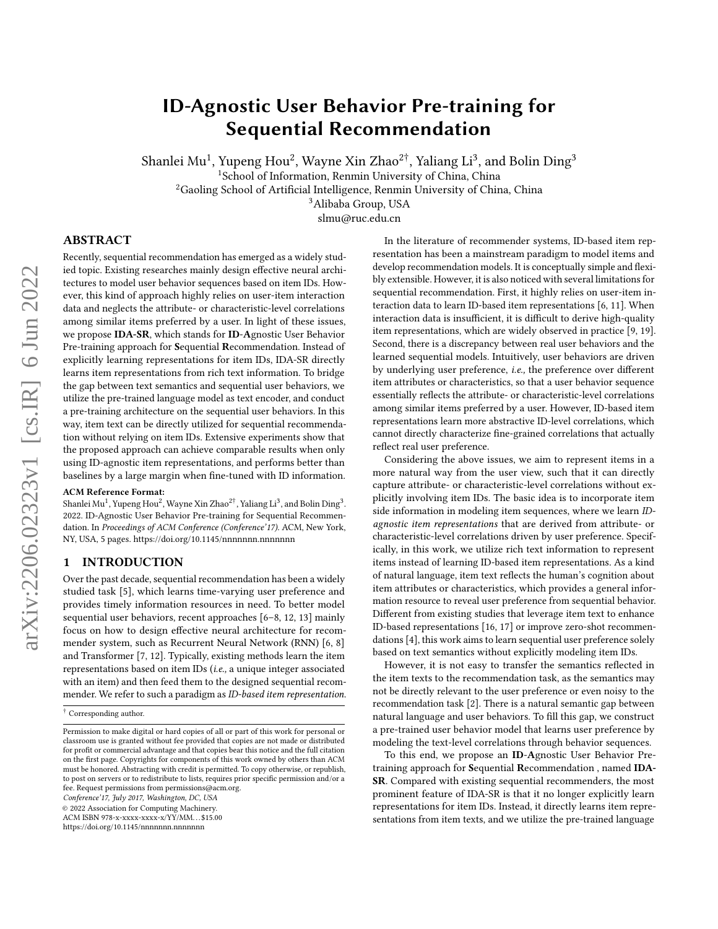# ID-Agnostic User Behavior Pre-training for Sequential Recommendation

Shanlei Mu $^1$ , Yupeng Hou $^2$ , Wayne Xin Zhao $^{2\dagger}$ , Yaliang Li $^3$ , and Bolin Ding $^3$ 

<sup>1</sup>School of Information, Renmin University of China, China

<sup>2</sup>Gaoling School of Artificial Intelligence, Renmin University of China, China

<sup>3</sup>Alibaba Group, USA

slmu@ruc.edu.cn

## ABSTRACT

Recently, sequential recommendation has emerged as a widely studied topic. Existing researches mainly design effective neural architectures to model user behavior sequences based on item IDs. However, this kind of approach highly relies on user-item interaction data and neglects the attribute- or characteristic-level correlations among similar items preferred by a user. In light of these issues, we propose IDA-SR, which stands for ID-Agnostic User Behavior Pre-training approach for Sequential Recommendation. Instead of explicitly learning representations for item IDs, IDA-SR directly learns item representations from rich text information. To bridge the gap between text semantics and sequential user behaviors, we utilize the pre-trained language model as text encoder, and conduct a pre-training architecture on the sequential user behaviors. In this way, item text can be directly utilized for sequential recommendation without relying on item IDs. Extensive experiments show that the proposed approach can achieve comparable results when only using ID-agnostic item representations, and performs better than baselines by a large margin when fine-tuned with ID information.

#### ACM Reference Format:

Shanlei Mu<sup>1</sup>, Yupeng Hou<sup>2</sup>, Wayne Xin Zhao<sup>2†</sup>, Yaliang Li<sup>3</sup>, and Bolin Ding<sup>3</sup>. 2022. ID-Agnostic User Behavior Pre-training for Sequential Recommendation. In Proceedings of ACM Conference (Conference'17). ACM, New York, NY, USA, [5](#page-4-0) pages.<https://doi.org/10.1145/nnnnnnn.nnnnnnn>

### 1 INTRODUCTION

Over the past decade, sequential recommendation has been a widely studied task [\[5\]](#page-4-1), which learns time-varying user preference and provides timely information resources in need. To better model sequential user behaviors, recent approaches [\[6–](#page-4-2)[8,](#page-4-3) [12,](#page-4-4) [13\]](#page-4-5) mainly focus on how to design effective neural architecture for recommender system, such as Recurrent Neural Network (RNN) [\[6,](#page-4-2) [8\]](#page-4-3) and Transformer [\[7,](#page-4-6) [12\]](#page-4-4). Typically, existing methods learn the item representations based on item IDs (i.e., a unique integer associated with an item) and then feed them to the designed sequential recommender. We refer to such a paradigm as ID-based item representation.

Conference'17, July 2017, Washington, DC, USA

© 2022 Association for Computing Machinery.

ACM ISBN 978-x-xxxx-xxxx-x/YY/MM. . . \$15.00

<https://doi.org/10.1145/nnnnnnn.nnnnnnn>

In the literature of recommender systems, ID-based item representation has been a mainstream paradigm to model items and develop recommendation models. It is conceptually simple and flexibly extensible. However, it is also noticed with several limitations for sequential recommendation. First, it highly relies on user-item interaction data to learn ID-based item representations [\[6,](#page-4-2) [11\]](#page-4-7). When interaction data is insufficient, it is difficult to derive high-quality item representations, which are widely observed in practice [\[9,](#page-4-8) [19\]](#page-4-9). Second, there is a discrepancy between real user behaviors and the learned sequential models. Intuitively, user behaviors are driven by underlying user preference, i.e., the preference over different item attributes or characteristics, so that a user behavior sequence essentially reflects the attribute- or characteristic-level correlations among similar items preferred by a user. However, ID-based item representations learn more abstractive ID-level correlations, which cannot directly characterize fine-grained correlations that actually reflect real user preference.

Considering the above issues, we aim to represent items in a more natural way from the user view, such that it can directly capture attribute- or characteristic-level correlations without explicitly involving item IDs. The basic idea is to incorporate item side information in modeling item sequences, where we learn IDagnostic item representations that are derived from attribute- or characteristic-level correlations driven by user preference. Specifically, in this work, we utilize rich text information to represent items instead of learning ID-based item representations. As a kind of natural language, item text reflects the human's cognition about item attributes or characteristics, which provides a general information resource to reveal user preference from sequential behavior. Different from existing studies that leverage item text to enhance ID-based representations [\[16,](#page-4-10) [17\]](#page-4-11) or improve zero-shot recommendations [\[4\]](#page-4-12), this work aims to learn sequential user preference solely based on text semantics without explicitly modeling item IDs.

However, it is not easy to transfer the semantics reflected in the item texts to the recommendation task, as the semantics may not be directly relevant to the user preference or even noisy to the recommendation task [\[2\]](#page-4-13). There is a natural semantic gap between natural language and user behaviors. To fill this gap, we construct a pre-trained user behavior model that learns user preference by modeling the text-level correlations through behavior sequences.

To this end, we propose an ID-Agnostic User Behavior Pretraining approach for Sequential Recommendation , named IDA-SR. Compared with existing sequential recommenders, the most prominent feature of IDA-SR is that it no longer explicitly learn representations for item IDs. Instead, it directly learns item representations from item texts, and we utilize the pre-trained language

<sup>†</sup> Corresponding author.

Permission to make digital or hard copies of all or part of this work for personal or classroom use is granted without fee provided that copies are not made or distributed for profit or commercial advantage and that copies bear this notice and the full citation on the first page. Copyrights for components of this work owned by others than ACM must be honored. Abstracting with credit is permitted. To copy otherwise, or republish, to post on servers or to redistribute to lists, requires prior specific permission and/or a fee. Request permissions from permissions@acm.org.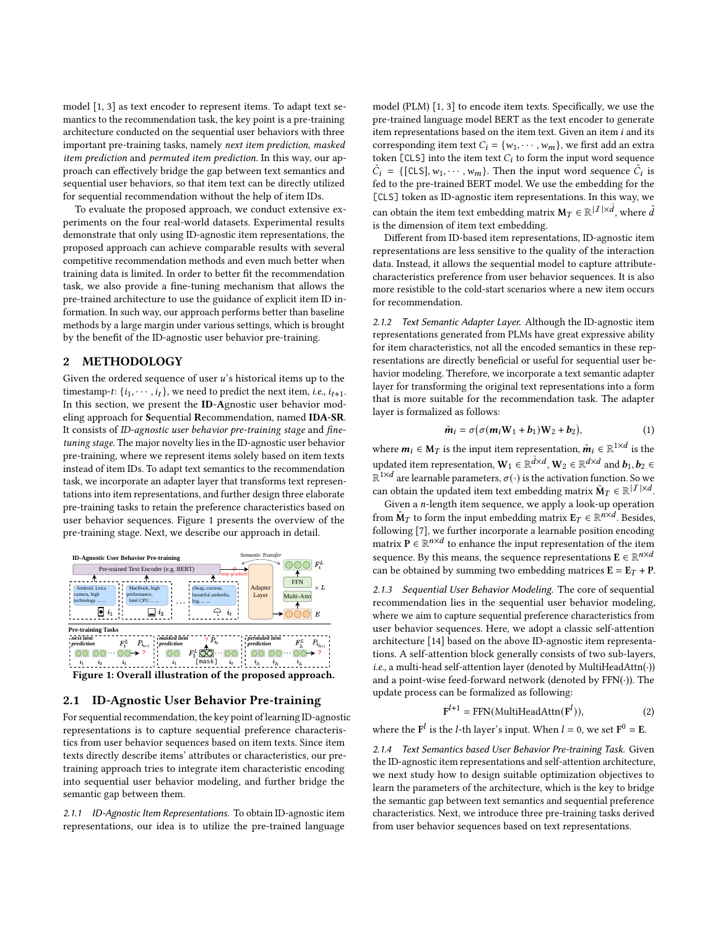model [\[1,](#page-4-14) [3\]](#page-4-15) as text encoder to represent items. To adapt text semantics to the recommendation task, the key point is a pre-training architecture conducted on the sequential user behaviors with three important pre-training tasks, namely next item prediction, masked item prediction and permuted item prediction. In this way, our approach can effectively bridge the gap between text semantics and sequential user behaviors, so that item text can be directly utilized for sequential recommendation without the help of item IDs.

To evaluate the proposed approach, we conduct extensive experiments on the four real-world datasets. Experimental results demonstrate that only using ID-agnostic item representations, the proposed approach can achieve comparable results with several competitive recommendation methods and even much better when training data is limited. In order to better fit the recommendation task, we also provide a fine-tuning mechanism that allows the pre-trained architecture to use the guidance of explicit item ID information. In such way, our approach performs better than baseline methods by a large margin under various settings, which is brought by the benefit of the ID-agnostic user behavior pre-training.

## 2 METHODOLOGY

Given the ordered sequence of user  $u$ 's historical items up to the timestamp-t:  $\{i_1, \dots, i_t\}$ , we need to predict the next item, *i.e.*,  $i_{t+1}$ . In this section, we present the ID-Agnostic user behavior modeling approach for Sequential Recommendation, named IDA-SR. It consists of ID-agnostic user behavior pre-training stage and finetuning stage. The major novelty lies in the ID-agnostic user behavior pre-training, where we represent items solely based on item texts instead of item IDs. To adapt text semantics to the recommendation task, we incorporate an adapter layer that transforms text representations into item representations, and further design three elaborate pre-training tasks to retain the preference characteristics based on user behavior sequences. Figure [1](#page-1-0) presents the overview of the pre-training stage. Next, we describe our approach in detail.

<span id="page-1-0"></span>

Figure 1: Overall illustration of the proposed approach.

## 2.1 ID-Agnostic User Behavior Pre-training

For sequential recommendation, the key point of learning ID-agnostic representations is to capture sequential preference characteristics from user behavior sequences based on item texts. Since item texts directly describe items' attributes or characteristics, our pretraining approach tries to integrate item characteristic encoding into sequential user behavior modeling, and further bridge the semantic gap between them.

2.1.1 ID-Agnostic Item Representations. To obtain ID-agnostic item representations, our idea is to utilize the pre-trained language model (PLM) [\[1,](#page-4-14) [3\]](#page-4-15) to encode item texts. Specifically, we use the pre-trained language model BERT as the text encoder to generate item representations based on the item text. Given an item  $i$  and its corresponding item text  $C_i = \{w_1, \dots, w_m\}$ , we first add an extra token  $[CLS]$  into the item text  $C_i$  to form the input word sequence  $ilde{C}_i = \{ [\text{CLS}], w_1, \cdots, w_m \}$ . Then the input word sequence  $\tilde{C}_i$  is fed to the pre-trained BERT model. We use the embedding for the [CLS] token as ID-agnostic item representations. In this way, we can obtain the item text embedding matrix  $\mathbf{M}_T\in\mathbb{R}^{|I|\times\tilde{d}}$  , where  $\tilde{d}$ is the dimension of item text embedding.

Different from ID-based item representations, ID-agnostic item representations are less sensitive to the quality of the interaction data. Instead, it allows the sequential model to capture attributecharacteristics preference from user behavior sequences. It is also more resistible to the cold-start scenarios where a new item occurs for recommendation.

2.1.2 Text Semantic Adapter Layer. Although the ID-agnostic item representations generated from PLMs have great expressive ability for item characteristics, not all the encoded semantics in these representations are directly beneficial or useful for sequential user behavior modeling. Therefore, we incorporate a text semantic adapter layer for transforming the original text representations into a form that is more suitable for the recommendation task. The adapter layer is formalized as follows:

$$
\tilde{\boldsymbol{m}}_i = \sigma \big( \sigma(\boldsymbol{m}_i \mathbf{W}_1 + \boldsymbol{b}_1) \mathbf{W}_2 + \boldsymbol{b}_2 \big), \tag{1}
$$

where  $\boldsymbol{m}_i \in \text{M}_T$  is the input item representation,  $\tilde{\boldsymbol{m}}_i \in \mathbb{R}^{1 \times d}$  is the updated item representation,  $\mathbf{W}_1 \in \mathbb{R}^{\tilde{d} \times d}$ ,  $\mathbf{W}_2 \in \mathbb{R}^{d \times d}$  and  $\boldsymbol{b}_1, \boldsymbol{b}_2 \in$  $\mathbb{R}^{1\times d}$  are learnable parameters,  $\sigma(\cdot)$  is the activation function. So we can obtain the updated item text embedding matrix  $\tilde{M}_T \in \mathbb{R}^{|I| \times d}$ .

Given a  $n$ -length item sequence, we apply a look-up operation from  $\tilde{M}_T$  to form the input embedding matrix  $E_T \in \mathbb{R}^{n \times d}$ . Besides, following [\[7\]](#page-4-6), we further incorporate a learnable position encoding matrix  $\overrightarrow{P} \in \mathbb{R}^{n \times d}$  to enhance the input representation of the item sequence. By this means, the sequence representations  $\mathbf{E} \in \mathbb{R}^{n \times d}$ can be obtained by summing two embedding matrices  $E = E_T + P$ .

2.1.3 Sequential User Behavior Modeling. The core of sequential recommendation lies in the sequential user behavior modeling, where we aim to capture sequential preference characteristics from user behavior sequences. Here, we adopt a classic self-attention architecture [\[14\]](#page-4-16) based on the above ID-agnostic item representations. A self-attention block generally consists of two sub-layers, i.e., a multi-head self-attention layer (denoted by MultiHeadAttn(·)) and a point-wise feed-forward network (denoted by FFN(·)). The update process can be formalized as following:

$$
\mathbf{F}^{l+1} = \text{FFN}(\text{MultiHeadAttn}(\mathbf{F}^{l})),\tag{2}
$$

where the  $F^l$  is the *l*-th layer's input. When  $l = 0$ , we set  $F^0 = E$ .

2.1.4 Text Semantics based User Behavior Pre-training Task. Given the ID-agnostic item representations and self-attention architecture, we next study how to design suitable optimization objectives to learn the parameters of the architecture, which is the key to bridge the semantic gap between text semantics and sequential preference characteristics. Next, we introduce three pre-training tasks derived from user behavior sequences based on text representations.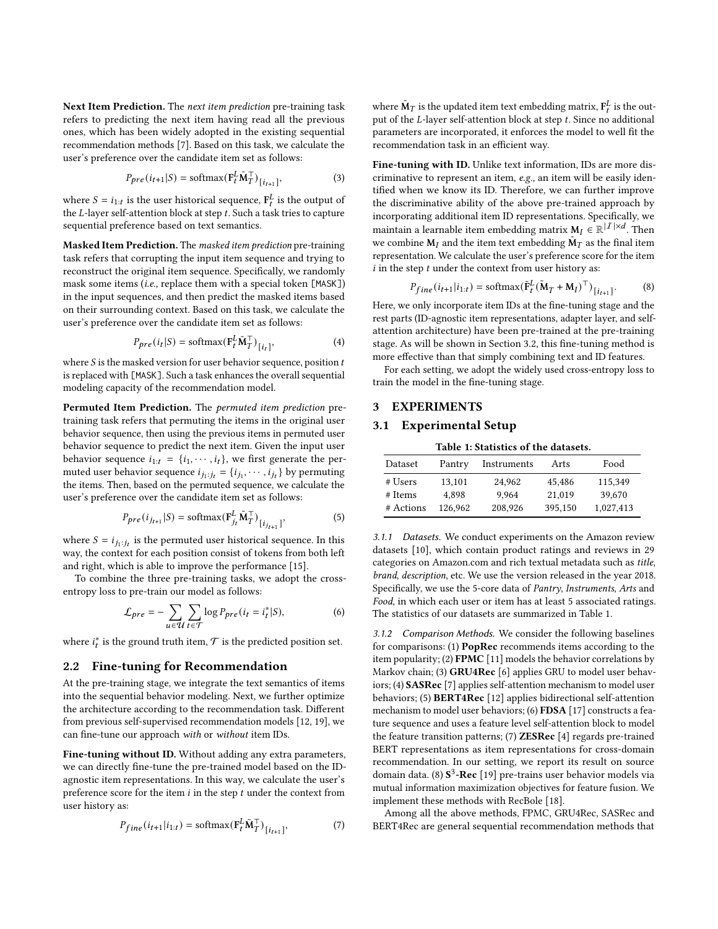Next Item Prediction. The next item prediction pre-training task refers to predicting the next item having read all the previous ones, which has been widely adopted in the existing sequential recommendation methods [\[7\]](#page-4-6). Based on this task, we calculate the user's preference over the candidate item set as follows:

$$
P_{pre}(i_{t+1}|S) = \text{softmax}(\mathbf{F}_t^L \tilde{\mathbf{M}}_T^\top)_{[i_{t+1}]},\tag{3}
$$

where  $S = i_{1:t}$  is the user historical sequence,  $F_t^L$  is the output of the  $L$ -layer self-attention block at step  $t$ . Such a task tries to capture sequential preference based on text semantics.

Masked Item Prediction. The masked item prediction pre-training task refers that corrupting the input item sequence and trying to reconstruct the original item sequence. Specifically, we randomly mask some items (i.e., replace them with a special token [MASK]) in the input sequences, and then predict the masked items based on their surrounding context. Based on this task, we calculate the user's preference over the candidate item set as follows:

$$
P_{pre}(i_t|S) = \text{softmax}(\mathbf{F}_t^L \tilde{\mathbf{M}}_T^\top)_{[i_t]},
$$
\n(4)

where  $S$  is the masked version for user behavior sequence, position  $t$ is replaced with [MASK]. Such a task enhances the overall sequential modeling capacity of the recommendation model.

Permuted Item Prediction. The permuted item prediction pretraining task refers that permuting the items in the original user behavior sequence, then using the previous items in permuted user behavior sequence to predict the next item. Given the input user behavior sequence  $i_{1:t} = \{i_1, \dots, i_t\}$ , we first generate the permuted user behavior sequence  $i_{j_1:j_t} = \{i_{j_1}, \dots, i_{j_t}\}\$  by permuting the items. Then, based on the permuted sequence, we calculate the user's preference over the candidate item set as follows:

$$
P_{pre}(i_{j_{t+1}}|S) = \text{softmax}(\mathbf{F}_{j_t}^L \tilde{\mathbf{M}}_T^\top)_{[i_{j_{t+1}}]},
$$
\n(5)

where  $S = i_{j_1:j_t}$  is the permuted user historical sequence. In this way, the context for each position consist of tokens from both left and right, which is able to improve the performance [\[15\]](#page-4-17).

To combine the three pre-training tasks, we adopt the crossentropy loss to pre-train our model as follows:

$$
\mathcal{L}_{pre} = -\sum_{u \in \mathcal{U}} \sum_{t \in \mathcal{T}} \log P_{pre}(i_t = i_t^* | S), \tag{6}
$$

where  $i_t^*$  is the ground truth item,  $\mathcal T$  is the predicted position set.

#### 2.2 Fine-tuning for Recommendation

At the pre-training stage, we integrate the text semantics of items into the sequential behavior modeling. Next, we further optimize the architecture according to the recommendation task. Different from previous self-supervised recommendation models [\[12,](#page-4-4) [19\]](#page-4-9), we can fine-tune our approach with or without item IDs.

Fine-tuning without ID. Without adding any extra parameters, we can directly fine-tune the pre-trained model based on the IDagnostic item representations. In this way, we calculate the user's preference score for the item  $i$  in the step  $t$  under the context from user history as:

$$
P_{fine}(i_{t+1}|i_{1:t}) = \text{softmax}(\mathbf{F}_t^L \tilde{\mathbf{M}}_T^\top)_{[i_{t+1}]},\tag{7}
$$

where  $\tilde{\mathbf{M}}_T$  is the updated item text embedding matrix,  $\mathbf{F}^L_t$  is the output of the  $L$ -layer self-attention block at step  $t$ . Since no additional parameters are incorporated, it enforces the model to well fit the recommendation task in an efficient way.

Fine-tuning with ID. Unlike text information, IDs are more discriminative to represent an item, e.g., an item will be easily identified when we know its ID. Therefore, we can further improve the discriminative ability of the above pre-trained approach by incorporating additional item ID representations. Specifically, we maintain a learnable item embedding matrix  $M_I \in \mathbb{R}^{|I| \times d}$ . Then we combine  $\mathbf{M}_I$  and the item text embedding  $\tilde{\mathbf{M}}_T$  as the final item representation. We calculate the user's preference score for the item  $i$  in the step  $t$  under the context from user history as:

$$
P_{fine}(i_{t+1}|i_{1:t}) = \text{softmax}(\tilde{\mathbf{F}}_{t}^{L}(\mathbf{\tilde{M}}_{T} + \mathbf{M}_{I})^{\top})_{[i_{t+1}]}.
$$
 (8)

Here, we only incorporate item IDs at the fine-tuning stage and the rest parts (ID-agnostic item representations, adapter layer, and selfattention architecture) have been pre-trained at the pre-training stage. As will be shown in Section [3.2,](#page-3-0) this fine-tuning method is more effective than that simply combining text and ID features.

For each setting, we adopt the widely used cross-entropy loss to train the model in the fine-tuning stage.

## 3 EXPERIMENTS

### 3.1 Experimental Setup

|  | Table 1: Statistics of the datasets. |  |  |
|--|--------------------------------------|--|--|
|  |                                      |  |  |

<span id="page-2-0"></span>

| Dataset   | Pantry  | Instruments |         | Food      |  |
|-----------|---------|-------------|---------|-----------|--|
| # Users   | 13,101  | 24.962      | 45,486  | 115.349   |  |
| # Items   | 4.898   | 9.964       | 21.019  | 39,670    |  |
| # Actions | 126,962 | 208,926     | 395.150 | 1,027,413 |  |

3.1.1 Datasets. We conduct experiments on the Amazon review datasets [\[10\]](#page-4-18), which contain product ratings and reviews in 29 categories on Amazon.com and rich textual metadata such as title, brand, description, etc. We use the version released in the year 2018. Specifically, we use the 5-core data of Pantry, Instruments, Arts and Food, in which each user or item has at least 5 associated ratings. The statistics of our datasets are summarized in Table [1.](#page-2-0)

3.1.2 Comparison Methods. We consider the following baselines for comparisons: (1) PopRec recommends items according to the item popularity; (2) FPMC [\[11\]](#page-4-7) models the behavior correlations by Markov chain; (3) GRU4Rec [\[6\]](#page-4-2) applies GRU to model user behaviors; (4) SASRec [\[7\]](#page-4-6) applies self-attention mechanism to model user behaviors; (5) BERT4Rec [\[12\]](#page-4-4) applies bidirectional self-attention mechanism to model user behaviors; (6) FDSA [\[17\]](#page-4-11) constructs a feature sequence and uses a feature level self-attention block to model the feature transition patterns; (7) **ZESRec** [\[4\]](#page-4-12) regards pre-trained BERT representations as item representations for cross-domain recommendation. In our setting, we report its result on source domain data. (8)  ${\bf S}^3$ -Rec [\[19\]](#page-4-9) pre-trains user behavior models via mutual information maximization objectives for feature fusion. We implement these methods with RecBole [\[18\]](#page-4-19).

Among all the above methods, FPMC, GRU4Rec, SASRec and BERT4Rec are general sequential recommendation methods that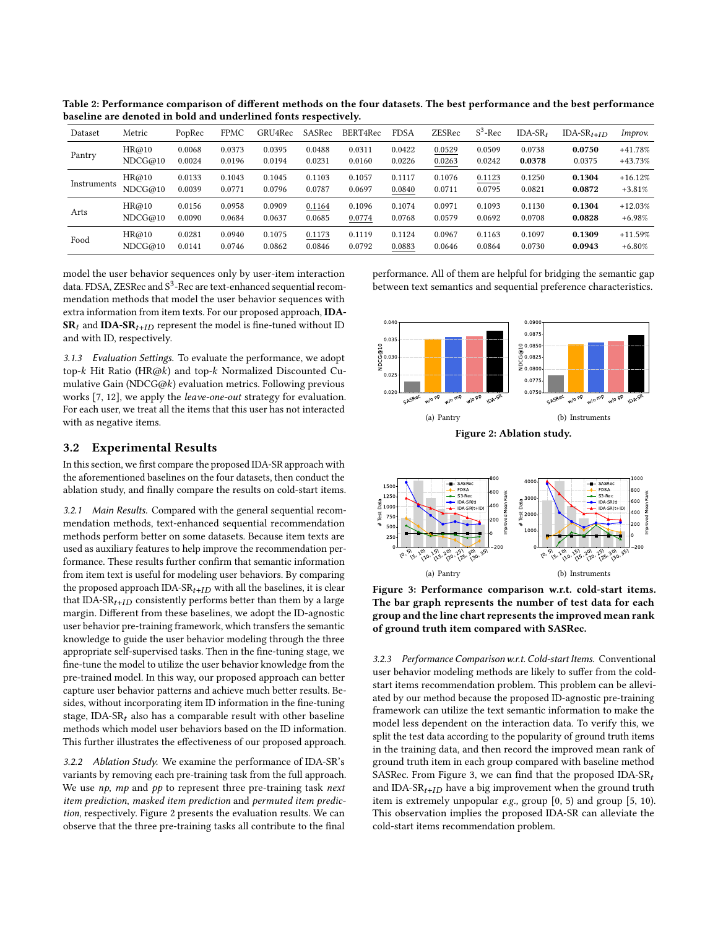| Dataset     | Metric  | PopRec | <b>FPMC</b> | GRU4Rec | SASRec | BERT4Rec | <b>FDSA</b> | <b>ZESRec</b> | $S^3$ -Rec | $IDA-SR$ | IDA-SR <sub>t+ID</sub> | Improv.   |
|-------------|---------|--------|-------------|---------|--------|----------|-------------|---------------|------------|----------|------------------------|-----------|
| Pantry      | HR@10   | 0.0068 | 0.0373      | 0.0395  | 0.0488 | 0.0311   | 0.0422      | 0.0529        | 0.0509     | 0.0738   | 0.0750                 | $+41.78%$ |
|             | NDCG@10 | 0.0024 | 0.0196      | 0.0194  | 0.0231 | 0.0160   | 0.0226      | 0.0263        | 0.0242     | 0.0378   | 0.0375                 | $+43.73%$ |
| Instruments | HR@10   | 0.0133 | 0.1043      | 0.1045  | 0.1103 | 0.1057   | 0.1117      | 0.1076        | 0.1123     | 0.1250   | 0.1304                 | $+16.12%$ |
|             | NDCG@10 | 0.0039 | 0.0771      | 0.0796  | 0.0787 | 0.0697   | 0.0840      | 0.0711        | 0.0795     | 0.0821   | 0.0872                 | $+3.81%$  |
| Arts        | HR@10   | 0.0156 | 0.0958      | 0.0909  | 0.1164 | 0.1096   | 0.1074      | 0.0971        | 0.1093     | 0.1130   | 0.1304                 | $+12.03%$ |
|             | NDCG@10 | 0.0090 | 0.0684      | 0.0637  | 0.0685 | 0.0774   | 0.0768      | 0.0579        | 0.0692     | 0.0708   | 0.0828                 | $+6.98%$  |
| Food        | HR@10   | 0.0281 | 0.0940      | 0.1075  | 0.1173 | 0.1119   | 0.1124      | 0.0967        | 0.1163     | 0.1097   | 0.1309                 | $+11.59%$ |
|             | NDCG@10 | 0.0141 | 0.0746      | 0.0862  | 0.0846 | 0.0792   | 0.0883      | 0.0646        | 0.0864     | 0.0730   | 0.0943                 | $+6.80%$  |

Table 2: Performance comparison of different methods on the four datasets. The best performance and the best performance baseline are denoted in bold and underlined fonts respectively.

model the user behavior sequences only by user-item interaction data. FDSA, ZESRec and  $S^3$ -Rec are text-enhanced sequential recommendation methods that model the user behavior sequences with extra information from item texts. For our proposed approach, IDA- $SR_t$  and IDA-SR<sub>t+ID</sub> represent the model is fine-tuned without ID and with ID, respectively.

3.1.3 Evaluation Settings. To evaluate the performance, we adopt top- $k$  Hit Ratio (HR@ $k$ ) and top- $k$  Normalized Discounted Cumulative Gain (NDCG@ $k$ ) evaluation metrics. Following previous works [\[7,](#page-4-6) [12\]](#page-4-4), we apply the leave-one-out strategy for evaluation. For each user, we treat all the items that this user has not interacted with as negative items.

#### <span id="page-3-0"></span>3.2 Experimental Results

In this section, we first compare the proposed IDA-SR approach with the aforementioned baselines on the four datasets, then conduct the ablation study, and finally compare the results on cold-start items.

3.2.1 Main Results. Compared with the general sequential recommendation methods, text-enhanced sequential recommendation methods perform better on some datasets. Because item texts are used as auxiliary features to help improve the recommendation performance. These results further confirm that semantic information from item text is useful for modeling user behaviors. By comparing the proposed approach IDA- $SR_{t+ID}$  with all the baselines, it is clear that IDA-SR<sub>t+*ID*</sub> consistently performs better than them by a large margin. Different from these baselines, we adopt the ID-agnostic user behavior pre-training framework, which transfers the semantic knowledge to guide the user behavior modeling through the three appropriate self-supervised tasks. Then in the fine-tuning stage, we fine-tune the model to utilize the user behavior knowledge from the pre-trained model. In this way, our proposed approach can better capture user behavior patterns and achieve much better results. Besides, without incorporating item ID information in the fine-tuning stage, IDA-SR<sub>t</sub> also has a comparable result with other baseline methods which model user behaviors based on the ID information. This further illustrates the effectiveness of our proposed approach.

3.2.2 Ablation Study. We examine the performance of IDA-SR's variants by removing each pre-training task from the full approach. We use  $np$ ,  $mp$  and  $pp$  to represent three pre-training task next item prediction, masked item prediction and permuted item prediction, respectively. Figure [2](#page-3-1) presents the evaluation results. We can observe that the three pre-training tasks all contribute to the final

performance. All of them are helpful for bridging the semantic gap between text semantics and sequential preference characteristics.

<span id="page-3-1"></span>

Figure 2: Ablation study.

<span id="page-3-2"></span>

Figure 3: Performance comparison w.r.t. cold-start items. The bar graph represents the number of test data for each group and the line chart represents the improved mean rank of ground truth item compared with SASRec.

3.2.3 Performance Comparison w.r.t. Cold-start Items. Conventional user behavior modeling methods are likely to suffer from the coldstart items recommendation problem. This problem can be alleviated by our method because the proposed ID-agnostic pre-training framework can utilize the text semantic information to make the model less dependent on the interaction data. To verify this, we split the test data according to the popularity of ground truth items in the training data, and then record the improved mean rank of ground truth item in each group compared with baseline method SASRec. From Figure [3,](#page-3-2) we can find that the proposed IDA-SR $_t$ and IDA-SR $_{t+ID}$  have a big improvement when the ground truth item is extremely unpopular e.g., group [0, 5) and group [5, 10). This observation implies the proposed IDA-SR can alleviate the cold-start items recommendation problem.